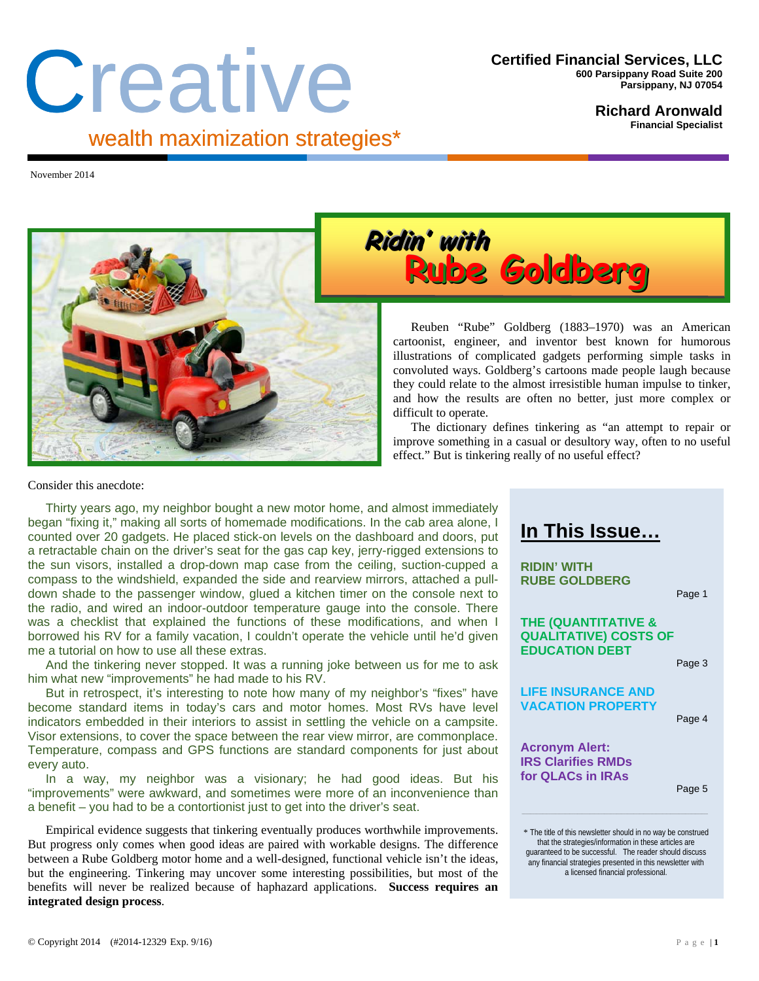# Creative wealth maximization strategies\*

#### **Richard Aronwald Financial Specialist**

November 2014





Reuben "Rube" Goldberg (1883–1970) was an American cartoonist, engineer, and inventor best known for humorous illustrations of complicated gadgets performing simple tasks in convoluted ways. Goldberg's cartoons made people laugh because they could relate to the almost irresistible human impulse to tinker, and how the results are often no better, just more complex or difficult to operate.

The dictionary defines tinkering as "an attempt to repair or improve something in a casual or desultory way, often to no useful effect." But is tinkering really of no useful effect?

#### Consider this anecdote:

Thirty years ago, my neighbor bought a new motor home, and almost immediately began "fixing it," making all sorts of homemade modifications. In the cab area alone, I counted over 20 gadgets. He placed stick-on levels on the dashboard and doors, put a retractable chain on the driver's seat for the gas cap key, jerry-rigged extensions to the sun visors, installed a drop-down map case from the ceiling, suction-cupped a compass to the windshield, expanded the side and rearview mirrors, attached a pulldown shade to the passenger window, glued a kitchen timer on the console next to the radio, and wired an indoor-outdoor temperature gauge into the console. There was a checklist that explained the functions of these modifications, and when I borrowed his RV for a family vacation, I couldn't operate the vehicle until he'd given me a tutorial on how to use all these extras.

And the tinkering never stopped. It was a running joke between us for me to ask him what new "improvements" he had made to his RV.

But in retrospect, it's interesting to note how many of my neighbor's "fixes" have become standard items in today's cars and motor homes. Most RVs have level indicators embedded in their interiors to assist in settling the vehicle on a campsite. Visor extensions, to cover the space between the rear view mirror, are commonplace. Temperature, compass and GPS functions are standard components for just about every auto.

In a way, my neighbor was a visionary; he had good ideas. But his "improvements" were awkward, and sometimes were more of an inconvenience than a benefit – you had to be a contortionist just to get into the driver's seat.

Empirical evidence suggests that tinkering eventually produces worthwhile improvements. But progress only comes when good ideas are paired with workable designs. The difference between a Rube Goldberg motor home and a well-designed, functional vehicle isn't the ideas, but the engineering. Tinkering may uncover some interesting possibilities, but most of the benefits will never be realized because of haphazard applications. **Success requires an integrated design process**.

# **In This Issue…**

**RIDIN' WITH RUBE GOLDBERG** 

Page 1

#### **THE (QUANTITATIVE & QUALITATIVE) COSTS OF EDUCATION DEBT**

Page 3

#### **LIFE INSURANCE AND VACATION PROPERTY**

Page 4

**Acronym Alert: IRS Clarifies RMDs for QLACs in IRAs** 

Page 5

**\_\_\_\_\_\_\_\_\_\_\_\_\_\_\_\_\_\_\_\_\_\_\_\_\_\_\_\_\_\_\_\_\_\_\_\_\_\_\_\_\_\_\_\_\_\_\_\_\_\_\_\_\_\_\_\_\_\_\_\_\_\_\_\_\_\_\_\_\_\_\_\_\_\_\_\_\_\_\_\_\_\_\_\_\_\_\_\_\_\_**

<sup>\*</sup> The title of this newsletter should in no way be construed that the strategies/information in these articles are guaranteed to be successful. The reader should discuss any financial strategies presented in this newsletter with a licensed financial professional.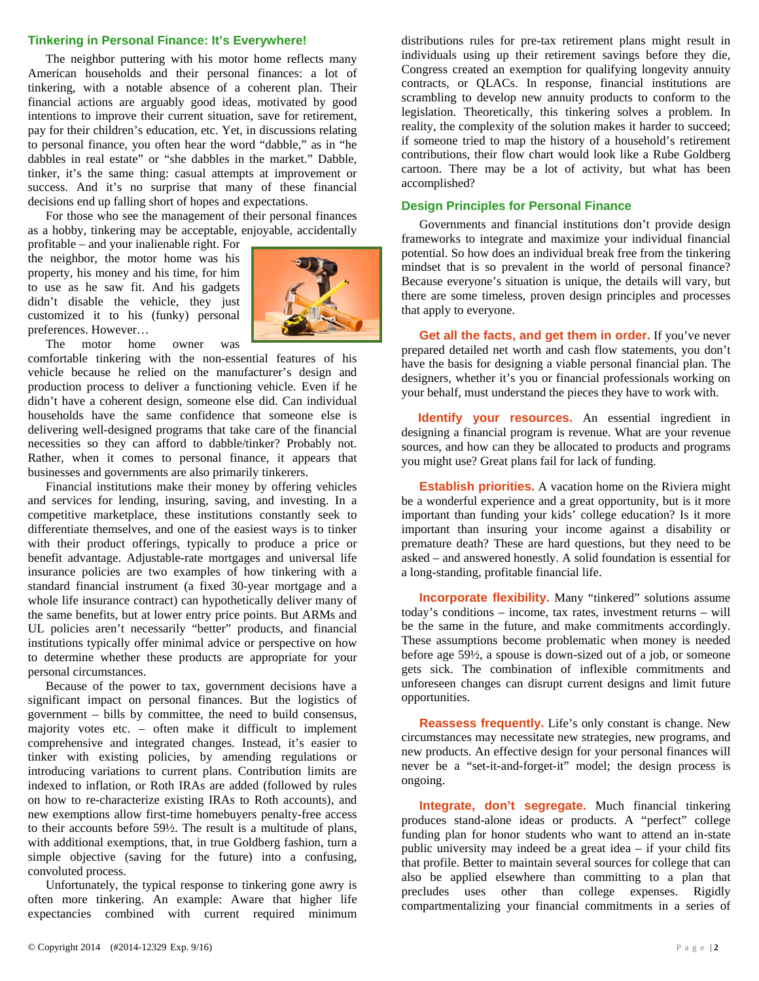#### **Tinkering in Personal Finance: It's Everywhere!**

The neighbor puttering with his motor home reflects many American households and their personal finances: a lot of tinkering, with a notable absence of a coherent plan. Their financial actions are arguably good ideas, motivated by good intentions to improve their current situation, save for retirement, pay for their children's education, etc. Yet, in discussions relating to personal finance, you often hear the word "dabble," as in "he dabbles in real estate" or "she dabbles in the market." Dabble, tinker, it's the same thing: casual attempts at improvement or success. And it's no surprise that many of these financial decisions end up falling short of hopes and expectations.

For those who see the management of their personal finances as a hobby, tinkering may be acceptable, enjoyable, accidentally

profitable – and your inalienable right. For the neighbor, the motor home was his property, his money and his time, for him to use as he saw fit. And his gadgets didn't disable the vehicle, they just customized it to his (funky) personal preferences. However…



The motor home owner was

comfortable tinkering with the non-essential features of his vehicle because he relied on the manufacturer's design and production process to deliver a functioning vehicle. Even if he didn't have a coherent design, someone else did. Can individual households have the same confidence that someone else is delivering well-designed programs that take care of the financial necessities so they can afford to dabble/tinker? Probably not. Rather, when it comes to personal finance, it appears that businesses and governments are also primarily tinkerers.

Financial institutions make their money by offering vehicles and services for lending, insuring, saving, and investing. In a competitive marketplace, these institutions constantly seek to differentiate themselves, and one of the easiest ways is to tinker with their product offerings, typically to produce a price or benefit advantage. Adjustable-rate mortgages and universal life insurance policies are two examples of how tinkering with a standard financial instrument (a fixed 30-year mortgage and a whole life insurance contract) can hypothetically deliver many of the same benefits, but at lower entry price points. But ARMs and UL policies aren't necessarily "better" products, and financial institutions typically offer minimal advice or perspective on how to determine whether these products are appropriate for your personal circumstances.

Because of the power to tax, government decisions have a significant impact on personal finances. But the logistics of government – bills by committee, the need to build consensus, majority votes etc. – often make it difficult to implement comprehensive and integrated changes. Instead, it's easier to tinker with existing policies, by amending regulations or introducing variations to current plans. Contribution limits are indexed to inflation, or Roth IRAs are added (followed by rules on how to re-characterize existing IRAs to Roth accounts), and new exemptions allow first-time homebuyers penalty-free access to their accounts before 59½. The result is a multitude of plans, with additional exemptions, that, in true Goldberg fashion, turn a simple objective (saving for the future) into a confusing, convoluted process.

Unfortunately, the typical response to tinkering gone awry is often more tinkering. An example: Aware that higher life expectancies combined with current required minimum distributions rules for pre-tax retirement plans might result in individuals using up their retirement savings before they die, Congress created an exemption for qualifying longevity annuity contracts, or QLACs. In response, financial institutions are scrambling to develop new annuity products to conform to the legislation. Theoretically, this tinkering solves a problem. In reality, the complexity of the solution makes it harder to succeed; if someone tried to map the history of a household's retirement contributions, their flow chart would look like a Rube Goldberg cartoon. There may be a lot of activity, but what has been accomplished?

#### **Design Principles for Personal Finance**

Governments and financial institutions don't provide design frameworks to integrate and maximize your individual financial potential. So how does an individual break free from the tinkering mindset that is so prevalent in the world of personal finance? Because everyone's situation is unique, the details will vary, but there are some timeless, proven design principles and processes that apply to everyone.

**Get all the facts, and get them in order.** If you've never prepared detailed net worth and cash flow statements, you don't have the basis for designing a viable personal financial plan. The designers, whether it's you or financial professionals working on your behalf, must understand the pieces they have to work with.

**Identify your resources.** An essential ingredient in designing a financial program is revenue. What are your revenue sources, and how can they be allocated to products and programs you might use? Great plans fail for lack of funding.

**Establish priorities.** A vacation home on the Riviera might be a wonderful experience and a great opportunity, but is it more important than funding your kids' college education? Is it more important than insuring your income against a disability or premature death? These are hard questions, but they need to be asked – and answered honestly. A solid foundation is essential for a long-standing, profitable financial life.

**Incorporate flexibility.** Many "tinkered" solutions assume today's conditions – income, tax rates, investment returns – will be the same in the future, and make commitments accordingly. These assumptions become problematic when money is needed before age 59½, a spouse is down-sized out of a job, or someone gets sick. The combination of inflexible commitments and unforeseen changes can disrupt current designs and limit future opportunities.

**Reassess frequently.** Life's only constant is change. New circumstances may necessitate new strategies, new programs, and new products. An effective design for your personal finances will never be a "set-it-and-forget-it" model; the design process is ongoing.

**Integrate, don't segregate.** Much financial tinkering produces stand-alone ideas or products. A "perfect" college funding plan for honor students who want to attend an in-state public university may indeed be a great idea – if your child fits that profile. Better to maintain several sources for college that can also be applied elsewhere than committing to a plan that precludes uses other than college expenses. Rigidly compartmentalizing your financial commitments in a series of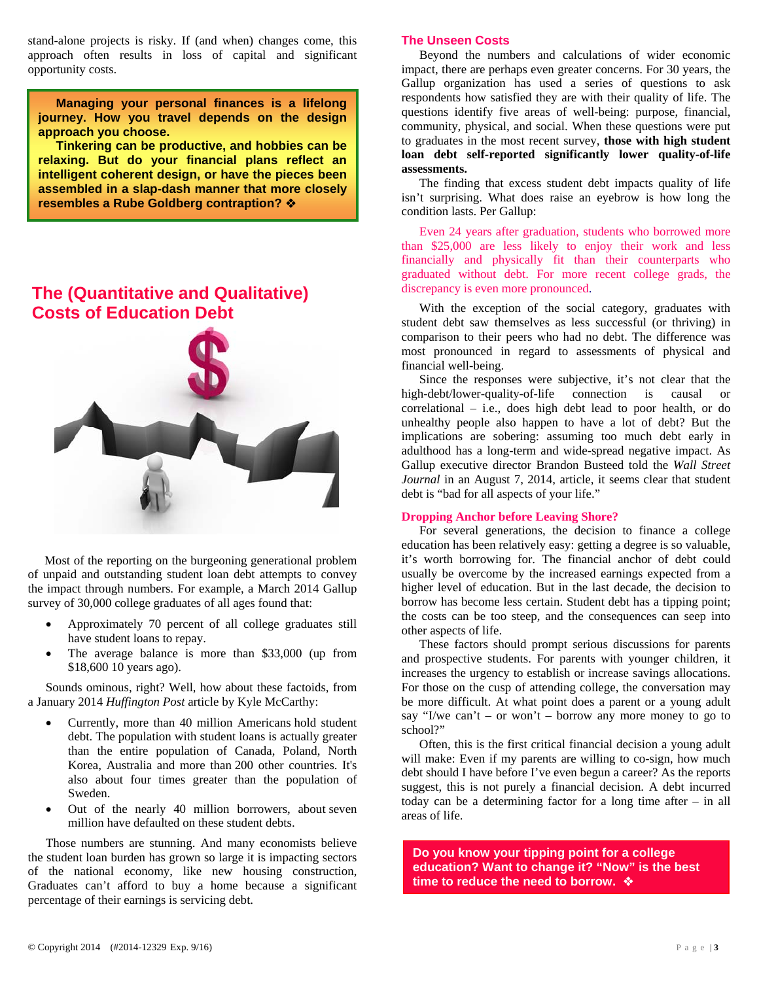stand-alone projects is risky. If (and when) changes come, this approach often results in loss of capital and significant opportunity costs.

**Managing your personal finances is a lifelong journey. How you travel depends on the design approach you choose.** 

**Tinkering can be productive, and hobbies can be relaxing. But do your financial plans reflect an intelligent coherent design, or have the pieces been assembled in a slap-dash manner that more closely resembles a Rube Goldberg contraption?** 

## **The (Quantitative and Qualitative) Costs of Education Debt**



 Most of the reporting on the burgeoning generational problem of unpaid and outstanding student loan debt attempts to convey the impact through numbers. For example, a March 2014 Gallup survey of 30,000 college graduates of all ages found that:

- Approximately 70 percent of all college graduates still have student loans to repay.
- The average balance is more than \$33,000 (up from \$18,600 10 years ago).

Sounds ominous, right? Well, how about these factoids, from a January 2014 *Huffington Post* article by Kyle McCarthy:

- Currently, more than 40 million Americans hold student debt. The population with student loans is actually greater than the entire population of Canada, Poland, North Korea, Australia and more than 200 other countries. It's also about four times greater than the population of Sweden.
- Out of the nearly 40 million borrowers, about seven million have defaulted on these student debts.

Those numbers are stunning. And many economists believe the student loan burden has grown so large it is impacting sectors of the national economy, like new housing construction, Graduates can't afford to buy a home because a significant percentage of their earnings is servicing debt.

#### **The Unseen Costs**

Beyond the numbers and calculations of wider economic impact, there are perhaps even greater concerns. For 30 years, the Gallup organization has used a series of questions to ask respondents how satisfied they are with their quality of life. The questions identify five areas of well-being: purpose, financial, community, physical, and social. When these questions were put to graduates in the most recent survey, **those with high student loan debt self-reported significantly lower quality-of-life assessments.** 

The finding that excess student debt impacts quality of life isn't surprising. What does raise an eyebrow is how long the condition lasts. Per Gallup:

Even 24 years after graduation, students who borrowed more than \$25,000 are less likely to enjoy their work and less financially and physically fit than their counterparts who graduated without debt. For more recent college grads, the discrepancy is even more pronounced.

With the exception of the social category, graduates with student debt saw themselves as less successful (or thriving) in comparison to their peers who had no debt. The difference was most pronounced in regard to assessments of physical and financial well-being.

Since the responses were subjective, it's not clear that the high-debt/lower-quality-of-life connection is causal or correlational – i.e., does high debt lead to poor health, or do unhealthy people also happen to have a lot of debt? But the implications are sobering: assuming too much debt early in adulthood has a long-term and wide-spread negative impact. As Gallup executive director Brandon Busteed told the *Wall Street Journal* in an August 7, 2014, article, it seems clear that student debt is "bad for all aspects of your life."

#### **Dropping Anchor before Leaving Shore?**

For several generations, the decision to finance a college education has been relatively easy: getting a degree is so valuable, it's worth borrowing for. The financial anchor of debt could usually be overcome by the increased earnings expected from a higher level of education. But in the last decade, the decision to borrow has become less certain. Student debt has a tipping point; the costs can be too steep, and the consequences can seep into other aspects of life.

These factors should prompt serious discussions for parents and prospective students. For parents with younger children, it increases the urgency to establish or increase savings allocations. For those on the cusp of attending college, the conversation may be more difficult. At what point does a parent or a young adult say "I/we can't – or won't – borrow any more money to go to school?"

Often, this is the first critical financial decision a young adult will make: Even if my parents are willing to co-sign, how much debt should I have before I've even begun a career? As the reports suggest, this is not purely a financial decision. A debt incurred today can be a determining factor for a long time after – in all areas of life.

**Do you know your tipping point for a college education? Want to change it? "Now" is the best time to reduce the need to borrow.**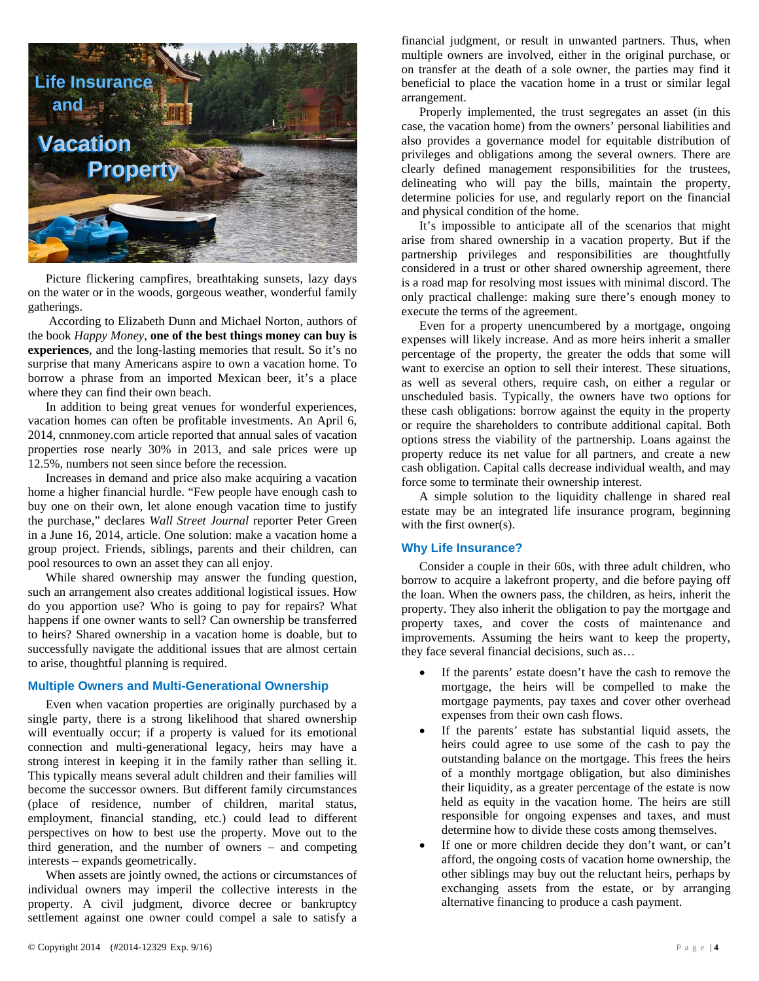

Picture flickering campfires, breathtaking sunsets, lazy days on the water or in the woods, gorgeous weather, wonderful family gatherings.

 According to Elizabeth Dunn and Michael Norton, authors of the book *Happy Money*, **one of the best things money can buy is experiences**, and the long-lasting memories that result. So it's no surprise that many Americans aspire to own a vacation home. To borrow a phrase from an imported Mexican beer, it's a place where they can find their own beach.

In addition to being great venues for wonderful experiences, vacation homes can often be profitable investments. An April 6, 2014, cnnmoney.com article reported that annual sales of vacation properties rose nearly 30% in 2013, and sale prices were up 12.5%, numbers not seen since before the recession.

Increases in demand and price also make acquiring a vacation home a higher financial hurdle. "Few people have enough cash to buy one on their own, let alone enough vacation time to justify the purchase," declares *Wall Street Journal* reporter Peter Green in a June 16, 2014, article. One solution: make a vacation home a group project. Friends, siblings, parents and their children, can pool resources to own an asset they can all enjoy.

While shared ownership may answer the funding question, such an arrangement also creates additional logistical issues. How do you apportion use? Who is going to pay for repairs? What happens if one owner wants to sell? Can ownership be transferred to heirs? Shared ownership in a vacation home is doable, but to successfully navigate the additional issues that are almost certain to arise, thoughtful planning is required.

#### **Multiple Owners and Multi-Generational Ownership**

Even when vacation properties are originally purchased by a single party, there is a strong likelihood that shared ownership will eventually occur; if a property is valued for its emotional connection and multi-generational legacy, heirs may have a strong interest in keeping it in the family rather than selling it. This typically means several adult children and their families will become the successor owners. But different family circumstances (place of residence, number of children, marital status, employment, financial standing, etc.) could lead to different perspectives on how to best use the property. Move out to the third generation, and the number of owners – and competing interests – expands geometrically.

When assets are jointly owned, the actions or circumstances of individual owners may imperil the collective interests in the property. A civil judgment, divorce decree or bankruptcy settlement against one owner could compel a sale to satisfy a

financial judgment, or result in unwanted partners. Thus, when multiple owners are involved, either in the original purchase, or on transfer at the death of a sole owner, the parties may find it beneficial to place the vacation home in a trust or similar legal arrangement.

Properly implemented, the trust segregates an asset (in this case, the vacation home) from the owners' personal liabilities and also provides a governance model for equitable distribution of privileges and obligations among the several owners. There are clearly defined management responsibilities for the trustees, delineating who will pay the bills, maintain the property, determine policies for use, and regularly report on the financial and physical condition of the home.

It's impossible to anticipate all of the scenarios that might arise from shared ownership in a vacation property. But if the partnership privileges and responsibilities are thoughtfully considered in a trust or other shared ownership agreement, there is a road map for resolving most issues with minimal discord. The only practical challenge: making sure there's enough money to execute the terms of the agreement.

Even for a property unencumbered by a mortgage, ongoing expenses will likely increase. And as more heirs inherit a smaller percentage of the property, the greater the odds that some will want to exercise an option to sell their interest. These situations, as well as several others, require cash, on either a regular or unscheduled basis. Typically, the owners have two options for these cash obligations: borrow against the equity in the property or require the shareholders to contribute additional capital. Both options stress the viability of the partnership. Loans against the property reduce its net value for all partners, and create a new cash obligation. Capital calls decrease individual wealth, and may force some to terminate their ownership interest.

A simple solution to the liquidity challenge in shared real estate may be an integrated life insurance program, beginning with the first owner(s).

#### **Why Life Insurance?**

Consider a couple in their 60s, with three adult children, who borrow to acquire a lakefront property, and die before paying off the loan. When the owners pass, the children, as heirs, inherit the property. They also inherit the obligation to pay the mortgage and property taxes, and cover the costs of maintenance and improvements. Assuming the heirs want to keep the property, they face several financial decisions, such as…

- If the parents' estate doesn't have the cash to remove the mortgage, the heirs will be compelled to make the mortgage payments, pay taxes and cover other overhead expenses from their own cash flows.
- If the parents' estate has substantial liquid assets, the heirs could agree to use some of the cash to pay the outstanding balance on the mortgage. This frees the heirs of a monthly mortgage obligation, but also diminishes their liquidity, as a greater percentage of the estate is now held as equity in the vacation home. The heirs are still responsible for ongoing expenses and taxes, and must determine how to divide these costs among themselves.
- If one or more children decide they don't want, or can't afford, the ongoing costs of vacation home ownership, the other siblings may buy out the reluctant heirs, perhaps by exchanging assets from the estate, or by arranging alternative financing to produce a cash payment.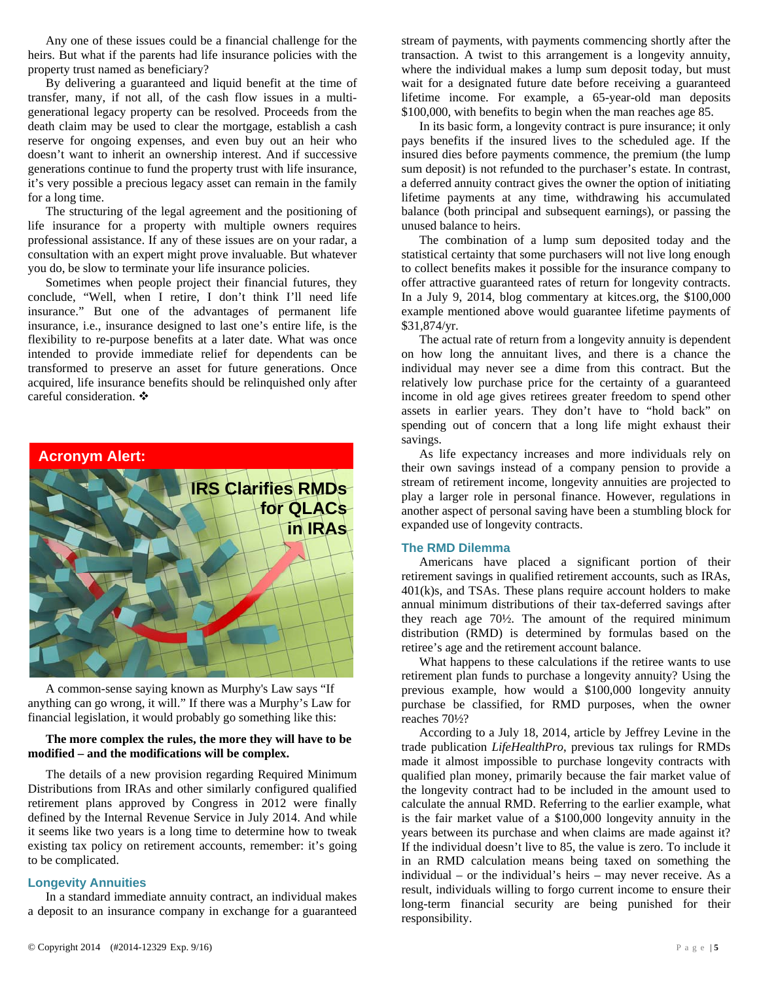Any one of these issues could be a financial challenge for the heirs. But what if the parents had life insurance policies with the property trust named as beneficiary?

By delivering a guaranteed and liquid benefit at the time of transfer, many, if not all, of the cash flow issues in a multigenerational legacy property can be resolved. Proceeds from the death claim may be used to clear the mortgage, establish a cash reserve for ongoing expenses, and even buy out an heir who doesn't want to inherit an ownership interest. And if successive generations continue to fund the property trust with life insurance, it's very possible a precious legacy asset can remain in the family for a long time.

The structuring of the legal agreement and the positioning of life insurance for a property with multiple owners requires professional assistance. If any of these issues are on your radar, a consultation with an expert might prove invaluable. But whatever you do, be slow to terminate your life insurance policies.

Sometimes when people project their financial futures, they conclude, "Well, when I retire, I don't think I'll need life insurance." But one of the advantages of permanent life insurance, i.e., insurance designed to last one's entire life, is the flexibility to re-purpose benefits at a later date. What was once intended to provide immediate relief for dependents can be transformed to preserve an asset for future generations. Once acquired, life insurance benefits should be relinquished only after careful consideration. ❖



A common-sense saying known as Murphy's Law says "If anything can go wrong, it will." If there was a Murphy's Law for financial legislation, it would probably go something like this:

#### **The more complex the rules, the more they will have to be modified – and the modifications will be complex.**

The details of a new provision regarding Required Minimum Distributions from IRAs and other similarly configured qualified retirement plans approved by Congress in 2012 were finally defined by the Internal Revenue Service in July 2014. And while it seems like two years is a long time to determine how to tweak existing tax policy on retirement accounts, remember: it's going to be complicated.

#### **Longevity Annuities**

In a standard immediate annuity contract, an individual makes a deposit to an insurance company in exchange for a guaranteed

stream of payments, with payments commencing shortly after the transaction. A twist to this arrangement is a longevity annuity, where the individual makes a lump sum deposit today, but must wait for a designated future date before receiving a guaranteed lifetime income. For example, a 65-year-old man deposits \$100,000, with benefits to begin when the man reaches age 85.

In its basic form, a longevity contract is pure insurance; it only pays benefits if the insured lives to the scheduled age. If the insured dies before payments commence, the premium (the lump sum deposit) is not refunded to the purchaser's estate. In contrast, a deferred annuity contract gives the owner the option of initiating lifetime payments at any time, withdrawing his accumulated balance (both principal and subsequent earnings), or passing the unused balance to heirs.

The combination of a lump sum deposited today and the statistical certainty that some purchasers will not live long enough to collect benefits makes it possible for the insurance company to offer attractive guaranteed rates of return for longevity contracts. In a July 9, 2014, blog commentary at kitces.org, the \$100,000 example mentioned above would guarantee lifetime payments of \$31,874/yr.

The actual rate of return from a longevity annuity is dependent on how long the annuitant lives, and there is a chance the individual may never see a dime from this contract. But the relatively low purchase price for the certainty of a guaranteed income in old age gives retirees greater freedom to spend other assets in earlier years. They don't have to "hold back" on spending out of concern that a long life might exhaust their savings.

As life expectancy increases and more individuals rely on their own savings instead of a company pension to provide a stream of retirement income, longevity annuities are projected to play a larger role in personal finance. However, regulations in another aspect of personal saving have been a stumbling block for expanded use of longevity contracts.

#### **The RMD Dilemma**

Americans have placed a significant portion of their retirement savings in qualified retirement accounts, such as IRAs,  $401(k)$ s, and TSAs. These plans require account holders to make annual minimum distributions of their tax-deferred savings after they reach age 70½. The amount of the required minimum distribution (RMD) is determined by formulas based on the retiree's age and the retirement account balance.

What happens to these calculations if the retiree wants to use retirement plan funds to purchase a longevity annuity? Using the previous example, how would a \$100,000 longevity annuity purchase be classified, for RMD purposes, when the owner reaches 70½?

According to a July 18, 2014, article by Jeffrey Levine in the trade publication *LifeHealthPro*, previous tax rulings for RMDs made it almost impossible to purchase longevity contracts with qualified plan money, primarily because the fair market value of the longevity contract had to be included in the amount used to calculate the annual RMD. Referring to the earlier example, what is the fair market value of a \$100,000 longevity annuity in the years between its purchase and when claims are made against it? If the individual doesn't live to 85, the value is zero. To include it in an RMD calculation means being taxed on something the individual – or the individual's heirs – may never receive. As a result, individuals willing to forgo current income to ensure their long-term financial security are being punished for their responsibility.